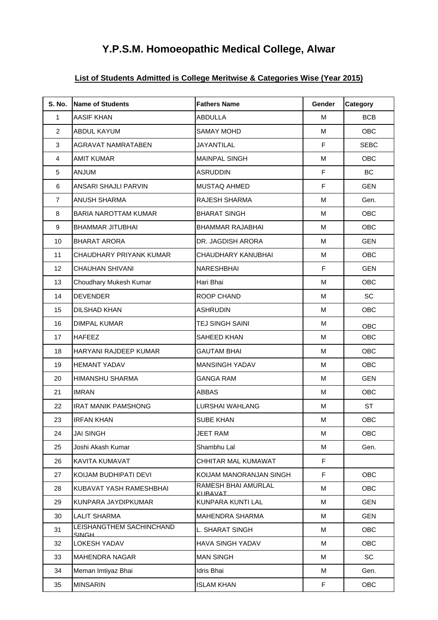## **Y.P.S.M. Homoeopathic Medical College, Alwar**

## **List of Students Admitted is College Meritwise & Categories Wise (Year 2015)**

| <b>S. No.</b>  | <b>Name of Students</b>            | <b>Fathers Name</b>             | Gender | Category    |
|----------------|------------------------------------|---------------------------------|--------|-------------|
| $\mathbf{1}$   | <b>AASIF KHAN</b>                  | ABDULLA                         | M      | <b>BCB</b>  |
| 2              | <b>ABDUL KAYUM</b>                 | <b>SAMAY MOHD</b>               | M      | OBC         |
| 3              | <b>AGRAVAT NAMRATABEN</b>          | JAYANTILAL                      | F      | <b>SEBC</b> |
| 4              | <b>AMIT KUMAR</b>                  | <b>MAINPAL SINGH</b>            | M      | OBC         |
| 5              | <b>ANJUM</b>                       | <b>ASRUDDIN</b>                 | F      | BC          |
| 6              | ANSARI SHAJLI PARVIN               | <b>MUSTAQ AHMED</b>             | F      | <b>GEN</b>  |
| $\overline{7}$ | <b>ANUSH SHARMA</b>                | <b>RAJESH SHARMA</b>            | M      | Gen.        |
| 8              | <b>BARIA NAROTTAM KUMAR</b>        | <b>BHARAT SINGH</b>             | M      | OBC         |
| 9              | BHAMMAR JITUBHAI                   | BHAMMAR RAJABHAI                | M      | OBC         |
| 10             | <b>BHARAT ARORA</b>                | DR. JAGDISH ARORA               | M      | <b>GEN</b>  |
| 11             | CHAUDHARY PRIYANK KUMAR            | CHAUDHARY KANUBHAI              | м      | OBC         |
| 12             | <b>CHAUHAN SHIVANI</b>             | NARESHBHAI                      | F      | <b>GEN</b>  |
| 13             | Choudhary Mukesh Kumar             | Hari Bhai                       | M      | OBC         |
| 14             | <b>DEVENDER</b>                    | <b>ROOP CHAND</b>               | M      | SC          |
| 15             | DILSHAD KHAN                       | <b>ASHRUDIN</b>                 | М      | <b>OBC</b>  |
| 16             | <b>DIMPAL KUMAR</b>                | TEJ SINGH SAINI                 | M      | OBC         |
| 17             | <b>HAFEEZ</b>                      | SAHEED KHAN                     | M      | OBC         |
| 18             | HARYANI RAJDEEP KUMAR              | <b>GAUTAM BHAI</b>              | М      | OBC         |
| 19             | <b>HEMANT YADAV</b>                | <b>MANSINGH YADAV</b>           | M      | OBC         |
| 20             | <b>HIMANSHU SHARMA</b>             | <b>GANGA RAM</b>                | M      | <b>GEN</b>  |
| 21             | <b>IMRAN</b>                       | <b>ABBAS</b>                    | M      | OBC         |
| 22             | <b>IRAT MANIK PAMSHONG</b>         | LURSHAI WAHLANG                 | M      | <b>ST</b>   |
| 23             | <b>IRFAN KHAN</b>                  | <b>SUBE KHAN</b>                | M      | OBC         |
| 24             | <b>JAI SINGH</b>                   | <b>JEET RAM</b>                 | М      | OBC         |
| 25             | Joshi Akash Kumar                  | Shambhu Lal                     | M      | Gen.        |
| 26             | KAVITA KUMAVAT                     | CHHITAR MAL KUMAWAT             | F.     |             |
| 27             | KOIJAM BUDHIPATI DEVI              | KOIJAM MANORANJAN SINGH         | F      | OBC         |
| 28             | KUBAVAT YASH RAMESHBHAI            | RAMESH BHAI AMURLAL<br>KLIRAVAT | M      | <b>OBC</b>  |
| 29             | KUNPARA JAYDIPKUMAR                | KUNPARA KUNTI LAL               | M      | <b>GEN</b>  |
| 30             | <b>LALIT SHARMA</b>                | <b>MAHENDRA SHARMA</b>          | M      | <b>GEN</b>  |
| 31             | LEISHANGTHEM SACHINCHAND<br>SINGH_ | L. SHARAT SINGH                 | M      | <b>OBC</b>  |
| 32             | LOKESH YADAV                       | <b>HAVA SINGH YADAV</b>         | M      | OBC         |
| 33             | <b>MAHENDRA NAGAR</b>              | <b>MAN SINGH</b>                | M      | SC          |
| 34             | Meman Imtiyaz Bhai                 | Idris Bhai                      | M      | Gen.        |
| 35             | <b>MINSARIN</b>                    | <b>ISLAM KHAN</b>               | F.     | <b>OBC</b>  |